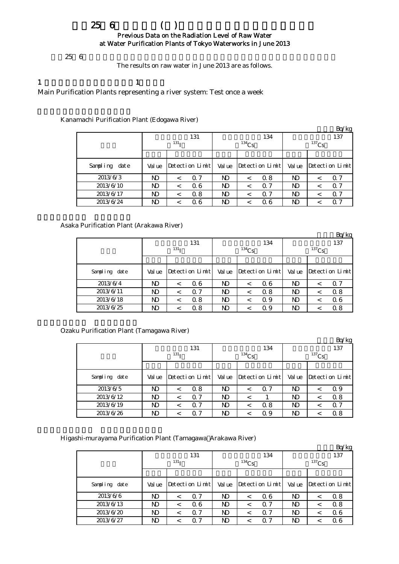## $256$  ( ) Previous Data on the Radiation Level of Raw Water at Water Purification Plants of Tokyo Waterworks in June 2013

 $256$ 

The results on raw water in June 2013 are as follows.

# 1  $\qquad \qquad 1$

Main Purification Plants representing a river system: Test once a week

Kanamachi Purification Plant (Edogawa River)

|               |       |                  |                 |        |          |                 |          |         | Bq/kg           |  |
|---------------|-------|------------------|-----------------|--------|----------|-----------------|----------|---------|-----------------|--|
|               |       |                  | 131             |        |          | 134             | 137      |         |                 |  |
|               |       | 131 <sub>T</sub> |                 |        | $134$ Cs |                 | $137$ Cs |         |                 |  |
|               |       |                  |                 |        |          |                 |          |         |                 |  |
| Sampling date | Value |                  | Detection Limit | Val ue |          | Detection Limit | Val ue   |         | Detection Limit |  |
| 2013/6/3      | N)    | $\,<\,$          | 0.7             | ND     | $\,<\,$  | 0.8             | ND       | <       | 0.7             |  |
| 2013/6/10     | ND    | $\,<\,$          | Q 6             | ND     | $\,<\,$  | $\alpha$ 7      | ND       | $\,<\,$ | Q 7             |  |
| 2013/6/17     | ND    | <                | 0.8             | ND     | <        | $\Omega$ 7      | ND       | <       | 0.7             |  |
| 2013/6/24     | ND    |                  | 06              | ND     | <        | 06              | ND       |         | Q 7             |  |

Asaka Purification Plant (Arakawa River)

|               |                  |         |                 |        |            |                 |        |          | Bq/kg                |  |  |
|---------------|------------------|---------|-----------------|--------|------------|-----------------|--------|----------|----------------------|--|--|
|               |                  |         | 131             |        |            | 134             | 137    |          |                      |  |  |
|               | 131 <sub>T</sub> |         |                 |        | $^{134}Cs$ |                 |        | $137$ Cs |                      |  |  |
|               |                  |         |                 |        |            |                 |        |          |                      |  |  |
| Sampling date | Val ue           |         | Detection Limit | Val ue |            | Detection Limit | Val ue |          | $Detecti$ on $Limit$ |  |  |
| 2013/6/4      | ND               | $\,<\,$ | 06              | ND     | <          | Q 6             | ND     |          | 0. 7                 |  |  |
| 2013/6/11     | ND               | $\,<\,$ | Q 7             | ND     | <          | 0.8             | ND     |          | 0.8                  |  |  |
| 2013/6/18     | ND               | $\,<\,$ | 0.8             | ND     | <          | 0.9             | ND     | <        | 06                   |  |  |
| 2013/6/25     | ND               |         | 0.8             | ND     |            | 0.9             | ND     |          | 0.8                  |  |  |

Ozaku Purification Plant (Tamagawa River)

|               |                  |   |                 |        |            |                 |          |         | Bq/kg           |  |
|---------------|------------------|---|-----------------|--------|------------|-----------------|----------|---------|-----------------|--|
|               |                  |   | 131             |        |            | 134             | 137      |         |                 |  |
|               | 131 <sub>T</sub> |   |                 |        | $^{134}Cs$ |                 | $137$ Cs |         |                 |  |
|               |                  |   |                 |        |            |                 |          |         |                 |  |
| Sampling date | Value            |   | Detection Limit | Val ue |            | Detection Limit | Val ue   |         | Detection Limit |  |
| 2013/6/5      | N)               |   | 0.8             | ND     | $\,<\,$    | Q 7             | ND       | <       | Q 9             |  |
| 2013/6/12     | N)               |   | $\Omega$ 7      | ND     | <          |                 | N)       | $\,<\,$ | 0.8             |  |
| 2013/6/19     | N)               | < | Q 7             | ND     | $\,<\,$    | 0.8             | ND       | $\,<\,$ | Q 7             |  |
| 2013/6/26     | ND               |   | $\Omega$ 7      | ND     |            | Q 9             | ND       |         | 0.8             |  |

Higashi-murayama Purification Plant (Tamagawa Arakawa River)

|               |                  |         |                 |              |          |                 |              |   | Bq/kg           |  |
|---------------|------------------|---------|-----------------|--------------|----------|-----------------|--------------|---|-----------------|--|
|               |                  |         | 131             |              |          | 134             | 137          |   |                 |  |
|               | 131 <sub>T</sub> |         |                 |              | $134$ Cs |                 | $137$ Cs     |   |                 |  |
|               |                  |         |                 |              |          |                 |              |   |                 |  |
| Sampling date | Value            |         | Detection Limit | Val ue       |          | Detection Limit | Val ue       |   | Detection Limit |  |
| 2013/6/6      | ND               | $\,<\,$ | $\Omega$ 7      | $\mathbf{D}$ | $\,<\,$  | 06              | $\mathbf{D}$ | < | 0.8             |  |
| 2013/6/13     | ND               | $\,<\,$ | 06              | ND           | $\,<\,$  | 0.7             | ND           | < | 0.8             |  |
| 2013/6/20     | ND               | $\,<\,$ | $\alpha$ 7      | ND.          | $\,<\,$  | $\alpha$ 7      | ND           | < | 06              |  |
| 2013/6/27     | ND               | $\,<\,$ | $\Omega$ 7      | $\mathbf{D}$ | <        | $\Omega$ 7      | ND           |   | 06              |  |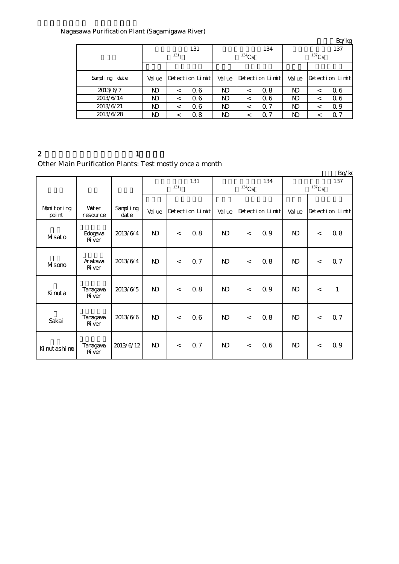# Nagasawa Purification Plant (Sagamigawa River)

|               |                  |         |                 |        |          |                 |          |         | Bq/kg           |  |
|---------------|------------------|---------|-----------------|--------|----------|-----------------|----------|---------|-----------------|--|
|               |                  |         | 131             |        |          | 134             | 137      |         |                 |  |
|               | 131 <sub>T</sub> |         |                 |        | $134$ Cs |                 | $137$ Cs |         |                 |  |
|               |                  |         |                 |        |          |                 |          |         |                 |  |
| Sampling date | Val ue           |         | Detection Limit | Val ue |          | Detection Limit | Val ue   |         | Detection Limit |  |
| 2013/6/7      | ND               | $\,<\,$ | Q 6             | ND     | $\,<\,$  | 0.8             | ND       | $\,<\,$ | 06              |  |
| 2013/6/14     | ND               | $\,<\,$ | Q 6             | ND     | $\,<\,$  | 06              | ND       | $\,<\,$ | 06              |  |
| 2013/6/21     | ND               | <       | 06              | ND     | <        | $\Omega$ 7      | ND       | <       | Q 9             |  |
| 2013/6/28     | ND               |         | 0.8             | ND     | <        | $\alpha$ 7      | ND       |         | $\alpha$ 7      |  |

2 and  $\lambda$  1 Other Main Purification Plants: Test mostly once a month

|                      |                           |                  |              |                          |                 |              |         |                 |              |       | Bq/kg           |
|----------------------|---------------------------|------------------|--------------|--------------------------|-----------------|--------------|---------|-----------------|--------------|-------|-----------------|
|                      |                           |                  |              |                          | 131             |              |         | 134             |              |       | 137             |
|                      |                           |                  |              | $131$ <sup>T</sup>       |                 | $134$ Cs     |         |                 | $137$ Cs     |       |                 |
|                      |                           |                  |              |                          |                 |              |         |                 |              |       |                 |
| Monitoring<br>poi nt | Vater<br>resource         | Sampling<br>date | Val ue       |                          | Detection Limit | Val ue       |         | Detection Limit | Val ue       |       | Detection Limit |
| Musato               | Edogava<br><b>R</b> ver   | 2013/6/4         | $\mathbf{D}$ | $\overline{\phantom{a}}$ | 08              | $\mathbf{N}$ | $\lt$   | 0.9             | $\mathbf{D}$ | $\lt$ | 0.8             |
| Misono               | Arakawa<br><b>R</b> iver  | 2013/6/4         | $\mathbf{D}$ | $\lt$                    | Q 7             | $\mathbf{N}$ | $\,<\,$ | 0.8             | $\mathbf{D}$ | $\lt$ | Q 7             |
| Kinuta               | Tanagawa<br><b>R</b> ver  | 2013/6/5         | $\mathbf{D}$ | $\lt$                    | 0.8             | $\mathbf{D}$ | $\lt$   | 0.9             | $\mathbf{D}$ | $\lt$ | $\mathbf{1}$    |
| Sakai                | Tanagawa<br><b>R</b> iver | 2013/6/6         | $\mathbf{D}$ | $\,<$                    | 06              | $\mathbf{N}$ | $\,<\,$ | 0.8             | $\mathbf{N}$ | $\lt$ | 0.7             |
| Kinutashimo          | Tanagawa<br>$\rm R$ ver   | 2013/6/12        | $\mathbf{D}$ | $\lt$                    | 0.7             | $\mathbf{N}$ | $\,<\,$ | 06              | $\mathbf{D}$ | $\lt$ | 0.9             |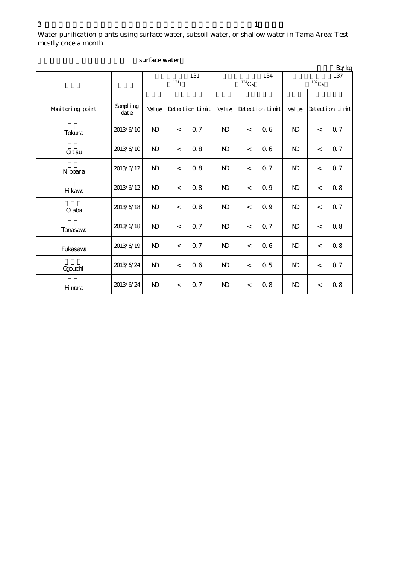Water purification plants using surface water, subsoil water, or shallow water in Tama Area: Test mostly once a month

|                  |                  |                           |                                     |                |                                            |                 |       | Bq/kg           |
|------------------|------------------|---------------------------|-------------------------------------|----------------|--------------------------------------------|-----------------|-------|-----------------|
|                  |                  | 131<br>$131$ <sup>T</sup> |                                     |                | 134<br>$^{134}\mathrm{Cs}$                 | 137<br>$137$ Cs |       |                 |
|                  |                  |                           |                                     |                |                                            |                 |       |                 |
| Monitoring point | Sampling<br>date | Val ue                    | Detection Limit                     | Val ue         | Detection Limit                            | Val ue          |       | Detection Limit |
| Tokura           | 2013/6/10        | $\mathbf{D}$              | Q <sub>7</sub><br>$\lt$             | $\mathbf{N}$   | 06<br>$\lt$                                | $\mathbf{N}$    | $\lt$ | 0.7             |
| <b>Qtsu</b>      | 2013/6/10        | $\mathbf{D}$              | $0.8\,$<br>$\overline{\phantom{a}}$ | N <sub>D</sub> | 06<br>$\prec$                              | $\mathbf{N}$    | $\lt$ | Q 7             |
| N ppara          | 2013/6/12        | $\mathbf{D}$              | 0.8<br>$\,<$                        | $\mathbf{N}$   | <b>Q</b> 7<br>$\prec$                      | $\mathbf{N}$    | $\,<$ | 0.7             |
| H kava           | 2013/6/12        | $\mathbf{D}$              | 08<br>$\lt$                         | $\mathbf{N}$   | 0.9<br>$\prec$                             | $\mathbf{N}$    | $\,<$ | 0.8             |
| Gaba             | 2013/6/18        | $\mathbf{D}$              | 0.8<br>$\,<$                        | N <sub>D</sub> | 0.9<br>$\prec$                             | $\mathbf{N}$    | $\,<$ | 0.7             |
| <b>Tanasava</b>  | 2013/6/18        | $\mathbf{D}$              | Q 7<br>$\overline{\phantom{a}}$     | $\mathbf{N}$   | Q <sub>7</sub><br>$\overline{\phantom{a}}$ | $\mathbf{N}$    | $\lt$ | 0.8             |
| Fukasava         | 2013/6/19        | N <sub>D</sub>            | Q 7<br>$\lt$                        | $\mathbf{N}$   | 06<br>$\prec$                              | $\mathbf{N}$    | $\,<$ | $0.8\,$         |
| Qgouchi          | 2013/6/24        | $\mathbf{D}$              | 06<br>$\overline{\phantom{a}}$      | N <sub>D</sub> | 0.5<br>$\prec$                             | $\mathbf{N}$    | $\,<$ | 0.7             |
| Hmura            | 2013/6/24        | $\mathbf{D}$              | 0.7<br>$\,<$                        | N <sub>D</sub> | 08<br>$\,<$                                | $\mathbf{N}$    | $\,<$ | 0.8             |

### surface water